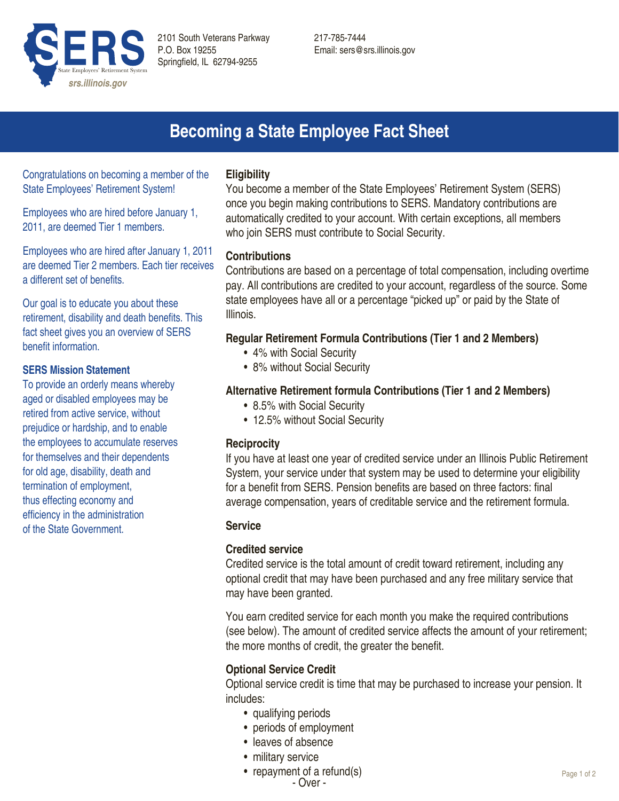

217-785-7444 Email: sers@srs.illinois.gov

# **Becoming a State Employee Fact Sheet**

Congratulations on becoming a member of the State Employees' Retirement System!

Employees who are hired before January 1, 2011, are deemed Tier 1 members.

Employees who are hired after January 1, 2011 are deemed Tier 2 members. Each tier receives a different set of benefits.

Our goal is to educate you about these retirement, disability and death benefits. This fact sheet gives you an overview of SERS benefit information.

### **SERS Mission Statement**

To provide an orderly means whereby aged or disabled employees may be retired from active service, without prejudice or hardship, and to enable the employees to accumulate reserves for themselves and their dependents for old age, disability, death and termination of employment, thus effecting economy and efficiency in the administration of the State Government.

## **Eligibility**

You become a member of the State Employees' Retirement System (SERS) once you begin making contributions to SERS. Mandatory contributions are automatically credited to your account. With certain exceptions, all members who join SERS must contribute to Social Security.

## **Contributions**

Contributions are based on a percentage of total compensation, including overtime pay. All contributions are credited to your account, regardless of the source. Some state employees have all or a percentage "picked up" or paid by the State of Illinois.

## **Regular Retirement Formula Contributions (Tier 1 and 2 Members)**

- 4% with Social Security
- 8% without Social Security

# **Alternative Retirement formula Contributions (Tier 1 and 2 Members)**

- 8.5% with Social Security
- 12.5% without Social Security

## **Reciprocity**

If you have at least one year of credited service under an Illinois Public Retirement System, your service under that system may be used to determine your eligibility for a benefit from SERS. Pension benefits are based on three factors: final average compensation, years of creditable service and the retirement formula.

## **Service**

## **Credited service**

Credited service is the total amount of credit toward retirement, including any optional credit that may have been purchased and any free military service that may have been granted.

You earn credited service for each month you make the required contributions (see below). The amount of credited service affects the amount of your retirement; the more months of credit, the greater the benefit.

# **Optional Service Credit**

Optional service credit is time that may be purchased to increase your pension. It includes:

- qualifying periods
- periods of employment
- leaves of absence
- military service
- repayment of a refund(s)